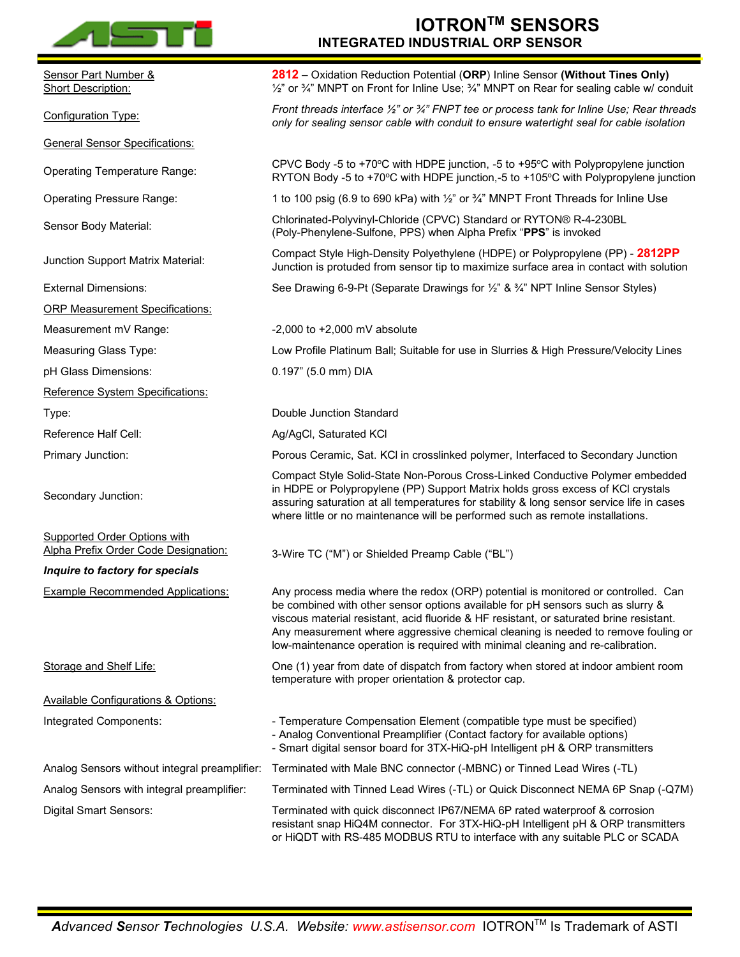

**SPECIFICATIONS** Sensor Part Number & **Short Description: 2812** – Oxidation Reduction Potential (**ORP**) Inline Sensor **(Without Tines Only)**  $\frac{1}{2}$ " or  $\frac{3}{4}$ " MNPT on Front for Inline Use;  $\frac{3}{4}$ " MNPT on Rear for sealing cable w/ conduit Configuration Type: *Front threads interface ½" or ¾" FNPT tee or process tank for Inline Use; Rear threads only for sealing sensor cable with conduit to ensure watertight seal for cable isolation* General Sensor Specifications: Operating Temperature Range:<br>
CPVC Body -5 to +70<sup>o</sup>C with HDPE junction, -5 to +95<sup>o</sup>C with Polypropylene junction RYTON Body -5 to +70 $\degree$ C with HDPE junction, -5 to +105 $\degree$ C with Polypropylene junction Operating Pressure Range: 1 to 100 psig (6.9 to 690 kPa) with  $\frac{1}{2}$ " or  $\frac{2}{4}$ " MNPT Front Threads for Inline Use Sensor Body Material: Chlorinated-Polyvinyl-Chloride (CPVC) Standard or RYTON® R-4-230BL<br>Chlorinated-Polyvinyl-Chloride (CPVC) Standard or RYTON® R-4-230BL (Poly-Phenylene-Sulfone, PPS) when Alpha Prefix "**PPS**" is invoked Junction Support Matrix Material: Compact Style High-Density Polyethylene (HDPE) or Polypropylene (PP) - **2812PP** Junction is protuded from sensor tip to maximize surface area in contact with solution External Dimensions: See Drawing 6-9-Pt (Separate Drawings for 1/2" & 3/4" NPT Inline Sensor Styles) ORP Measurement Specifications: Measurement mV Range:  $-2,000$  to  $+2,000$  mV absolute Measuring Glass Type: Low Profile Platinum Ball; Suitable for use in Slurries & High Pressure/Velocity Lines pH Glass Dimensions: 0.197" (5.0 mm) DIA Reference System Specifications: Type: Double Junction Standard Reference Half Cell: Ag/AgCl, Saturated KCl Primary Junction: Porous Ceramic, Sat. KCl in crosslinked polymer, Interfaced to Secondary Junction Secondary Junction: Compact Style Solid-State Non-Porous Cross-Linked Conductive Polymer embedded in HDPE or Polypropylene (PP) Support Matrix holds gross excess of KCl crystals assuring saturation at all temperatures for stability & long sensor service life in cases where little or no maintenance will be performed such as remote installations. Supported Order Options with Alpha Prefix Order Code Designation: *Inquire to factory for specials* 3-Wire TC ("M") or Shielded Preamp Cable ("BL") Example Recommended Applications: Any process media where the redox (ORP) potential is monitored or controlled. Can be combined with other sensor options available for pH sensors such as slurry & viscous material resistant, acid fluoride & HF resistant, or saturated brine resistant. Any measurement where aggressive chemical cleaning is needed to remove fouling or low-maintenance operation is required with minimal cleaning and re-calibration. Storage and Shelf Life: One (1) year from date of dispatch from factory when stored at indoor ambient room temperature with proper orientation & protector cap. Available Configurations & Options: Integrated Components: Temperature Compensation Element (compatible type must be specified) - Analog Conventional Preamplifier (Contact factory for available options) - Smart digital sensor board for 3TX-HiQ-pH Intelligent pH & ORP transmitters Analog Sensors without integral preamplifier: Terminated with Male BNC connector (-MBNC) or Tinned Lead Wires (-TL) Analog Sensors with integral preamplifier: Digital Smart Sensors: Terminated with Tinned Lead Wires (-TL) or Quick Disconnect NEMA 6P Snap (-Q7M) Terminated with quick disconnect IP67/NEMA 6P rated waterproof & corrosion resistant snap HiQ4M connector. For 3TX-HiQ-pH Intelligent pH & ORP transmitters or HiQDT with RS-485 MODBUS RTU to interface with any suitable PLC or SCADA

**IOTRONTM SENSORS**

**INTEGRATED INDUSTRIAL ORP SENSOR**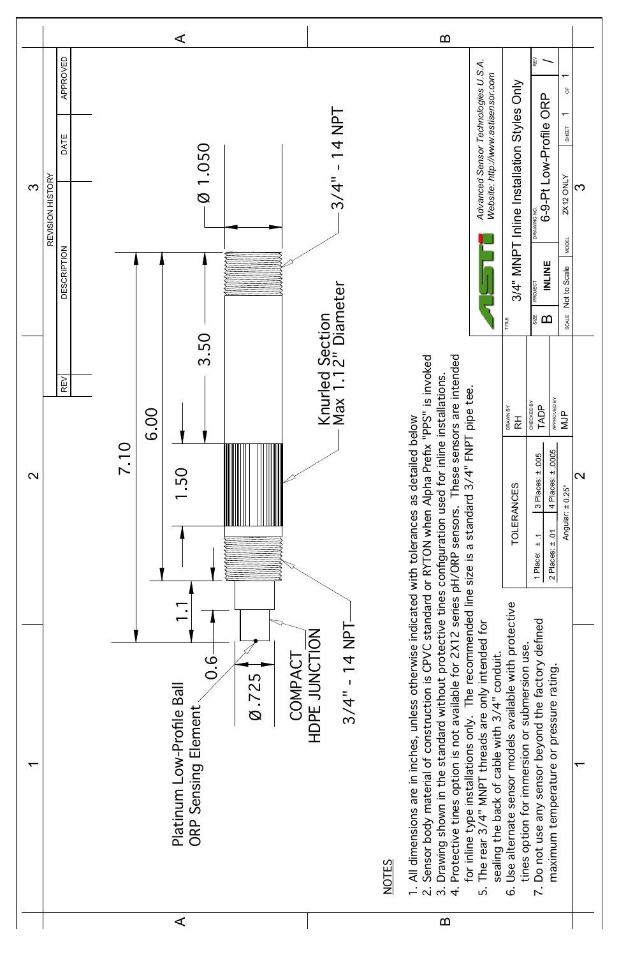| ن<br>ت<br>COMPAC<br>Ø.725<br>Platinum Low-Profile Ball<br>ORP Sensing Element | $3/4" - 14$ NPT<br>HDPE JUNCTION<br><b>NOTES</b> | All dimensions are in inches, unless otherwise indicate<br>Sensor body material of construction is CPVC standar<br>Drawing shown in the standard without protective tin<br>Protective tines option is not available for 2X12 serie<br>for inline type installations only. The recommended li<br>Use alternate sensor models available with protective<br>Do not use any sensor beyond the factory defined<br>The rear 3/4" MNPT threads are only intended for<br>tines option for immersion or submersion use<br>sealing the back of cable with 3/4" conduit.<br>maximum temperature or pressure rating.<br>$\dot{\mathbf{c}}$<br>$\frac{1}{2}$<br>$\overline{\mathcal{N}}$<br>்<br>$\dot{\circ}$ |  |
|-------------------------------------------------------------------------------|--------------------------------------------------|---------------------------------------------------------------------------------------------------------------------------------------------------------------------------------------------------------------------------------------------------------------------------------------------------------------------------------------------------------------------------------------------------------------------------------------------------------------------------------------------------------------------------------------------------------------------------------------------------------------------------------------------------------------------------------------------------|--|
| ⋖                                                                             |                                                  | $\boldsymbol{\omega}$                                                                                                                                                                                                                                                                                                                                                                                                                                                                                                                                                                                                                                                                             |  |

 $\overline{\phantom{0}}$